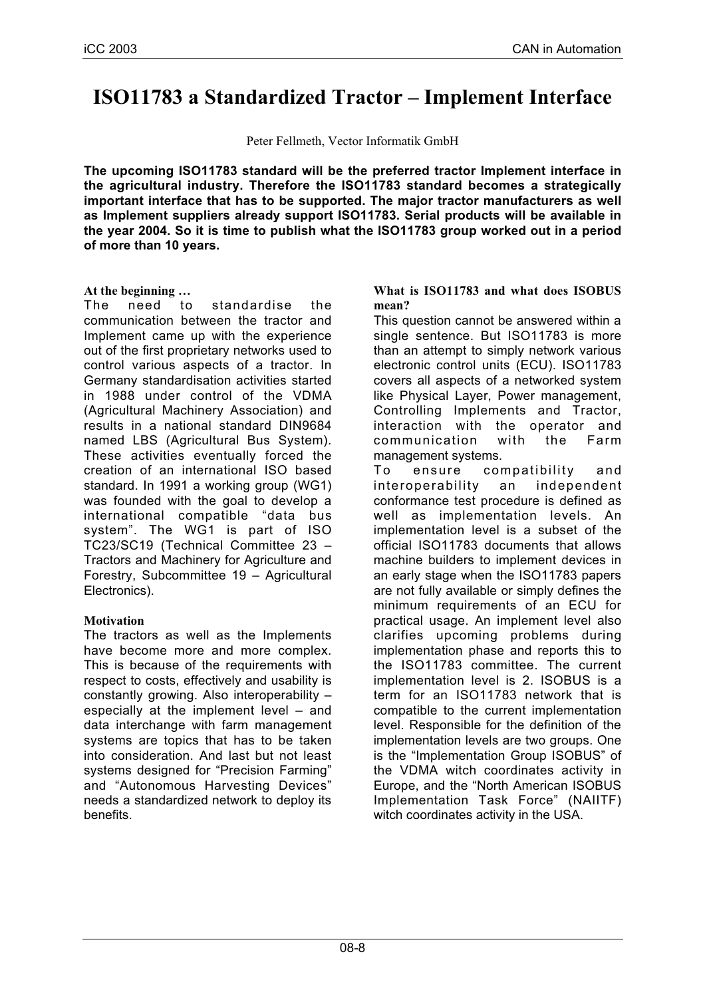# **ISO11783 a Standardized Tractor – Implement Interface**

Peter Fellmeth, Vector Informatik GmbH

**The upcoming ISO11783 standard will be the preferred tractor Implement interface in the agricultural industry. Therefore the ISO11783 standard becomes a strategically important interface that has to be supported. The major tractor manufacturers as well as Implement suppliers already support ISO11783. Serial products will be available in the year 2004. So it is time to publish what the ISO11783 group worked out in a period of more than 10 years.**

## **At the beginning …**

The need to standardise the communication between the tractor and Implement came up with the experience out of the first proprietary networks used to control various aspects of a tractor. In Germany standardisation activities started in 1988 under control of the VDMA (Agricultural Machinery Association) and results in a national standard DIN9684 named LBS (Agricultural Bus System). These activities eventually forced the creation of an international ISO based standard. In 1991 a working group (WG1) was founded with the goal to develop a international compatible "data bus system". The WG1 is part of ISO TC23/SC19 (Technical Committee 23 – Tractors and Machinery for Agriculture and Forestry, Subcommittee 19 – Agricultural Electronics).

# **Motivation**

The tractors as well as the Implements have become more and more complex. This is because of the requirements with respect to costs, effectively and usability is constantly growing. Also interoperability – especially at the implement level – and data interchange with farm management systems are topics that has to be taken into consideration. And last but not least systems designed for "Precision Farming" and "Autonomous Harvesting Devices" needs a standardized network to deploy its benefits.

#### **What is ISO11783 and what does ISOBUS mean?**

This question cannot be answered within a single sentence. But ISO11783 is more than an attempt to simply network various electronic control units (ECU). ISO11783 covers all aspects of a networked system like Physical Layer, Power management, Controlling Implements and Tractor, interaction with the operator and communication with the Farm management systems.

To ensure compatibility and interoperability an independent conformance test procedure is defined as well as implementation levels. An implementation level is a subset of the official ISO11783 documents that allows machine builders to implement devices in an early stage when the ISO11783 papers are not fully available or simply defines the minimum requirements of an ECU for practical usage. An implement level also clarifies upcoming problems during implementation phase and reports this to the ISO11783 committee. The current implementation level is 2. ISOBUS is a term for an ISO11783 network that is compatible to the current implementation level. Responsible for the definition of the implementation levels are two groups. One is the "Implementation Group ISOBUS" of the VDMA witch coordinates activity in Europe, and the "North American ISOBUS Implementation Task Force" (NAIITF) witch coordinates activity in the USA.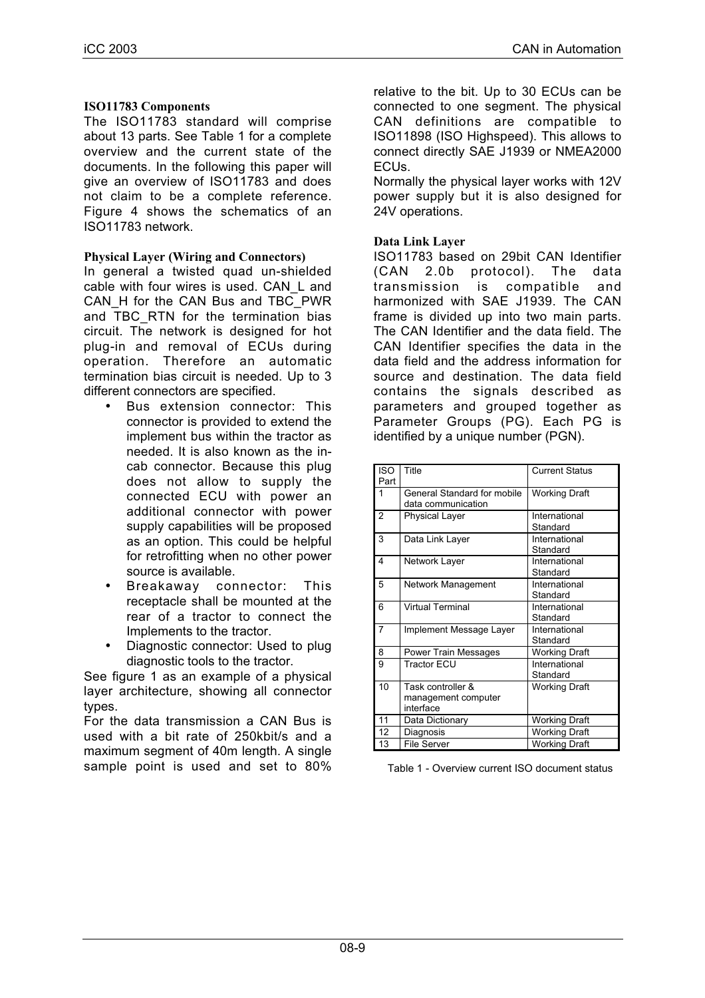#### **ISO11783 Components**

The ISO11783 standard will comprise about 13 parts. See Table 1 for a complete overview and the current state of the documents. In the following this paper will give an overview of ISO11783 and does not claim to be a complete reference. Figure 4 shows the schematics of an ISO11783 network.

#### **Physical Layer (Wiring and Connectors)**

In general a twisted quad un-shielded cable with four wires is used. CAN\_L and CAN\_H for the CAN Bus and TBC\_PWR and TBC\_RTN for the termination bias circuit. The network is designed for hot plug-in and removal of ECUs during operation. Therefore an automatic termination bias circuit is needed. Up to 3 different connectors are specified.

- Bus extension connector: This connector is provided to extend the implement bus within the tractor as needed. It is also known as the incab connector. Because this plug does not allow to supply the connected ECU with power an additional connector with power supply capabilities will be proposed as an option. This could be helpful for retrofitting when no other power source is available.
- Breakaway connector: This receptacle shall be mounted at the rear of a tractor to connect the Implements to the tractor.
- Diagnostic connector: Used to plug diagnostic tools to the tractor.

See figure 1 as an example of a physical layer architecture, showing all connector types.

For the data transmission a CAN Bus is used with a bit rate of 250kbit/s and a maximum segment of 40m length. A single sample point is used and set to 80% relative to the bit. Up to 30 ECUs can be connected to one segment. The physical CAN definitions are compatible to ISO11898 (ISO Highspeed). This allows to connect directly SAE J1939 or NMEA2000 ECUs.

Normally the physical layer works with 12V power supply but it is also designed for 24V operations.

#### **Data Link Layer**

ISO11783 based on 29bit CAN Identifier (CAN 2.0b protocol). The data transmission is compatible and harmonized with SAE J1939. The CAN frame is divided up into two main parts. The CAN Identifier and the data field. The CAN Identifier specifies the data in the data field and the address information for source and destination. The data field contains the signals described as parameters and grouped together as Parameter Groups (PG). Each PG is identified by a unique number (PGN).

| ISO.<br>Part   | Title                                             | <b>Current Status</b>     |
|----------------|---------------------------------------------------|---------------------------|
| 1              | General Standard for mobile<br>data communication | <b>Working Draft</b>      |
| $\overline{2}$ | <b>Physical Layer</b>                             | International<br>Standard |
| 3              | Data Link Layer                                   | International<br>Standard |
| 4              | Network Layer                                     | International<br>Standard |
| 5              | Network Management                                | International<br>Standard |
| 6              | <b>Virtual Terminal</b>                           | International<br>Standard |
| $\overline{7}$ | Implement Message Layer                           | International<br>Standard |
| 8              | Power Train Messages                              | Working Draft             |
| 9              | Tractor FCU                                       | International<br>Standard |
| 10             | Task controller &                                 | <b>Working Draft</b>      |
|                | management computer<br>interface                  |                           |
| 11             | Data Dictionary                                   | <b>Working Draft</b>      |
| 12             | Diagnosis                                         | <b>Working Draft</b>      |
| 13             | <b>File Server</b>                                | <b>Working Draft</b>      |

Table 1 - Overview current ISO document status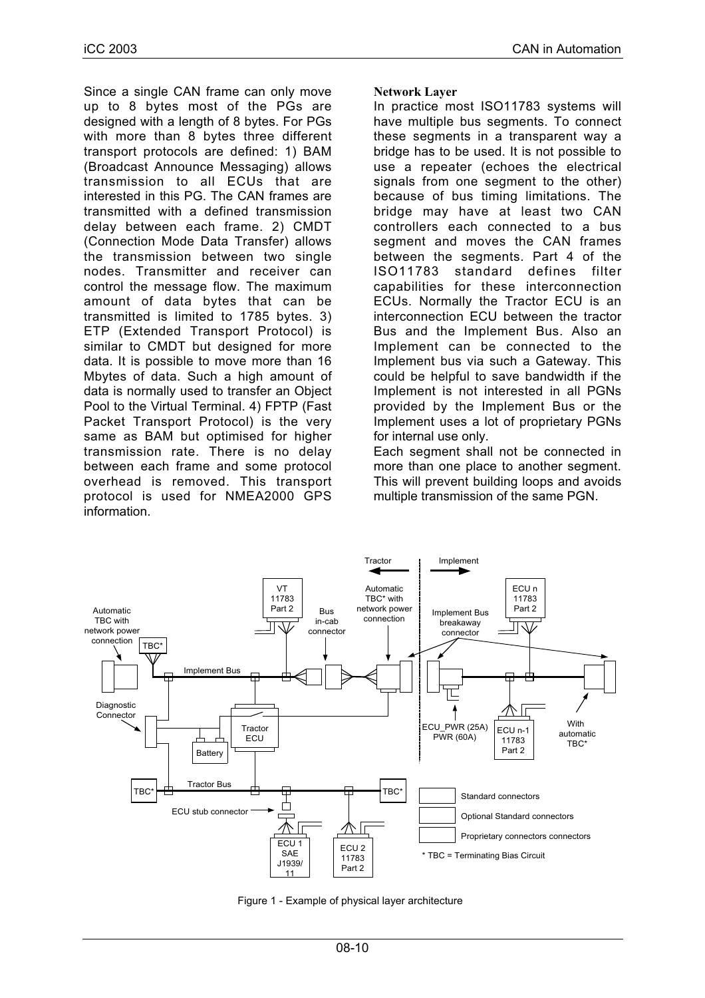Since a single CAN frame can only move up to 8 bytes most of the PGs are designed with a length of 8 bytes. For PGs with more than 8 bytes three different transport protocols are defined: 1) BAM (Broadcast Announce Messaging) allows transmission to all ECUs that are interested in this PG. The CAN frames are transmitted with a defined transmission delay between each frame. 2) CMDT (Connection Mode Data Transfer) allows the transmission between two single nodes. Transmitter and receiver can control the message flow. The maximum amount of data bytes that can be transmitted is limited to 1785 bytes. 3) ETP (Extended Transport Protocol) is similar to CMDT but designed for more data. It is possible to move more than 16 Mbytes of data. Such a high amount of data is normally used to transfer an Object Pool to the Virtual Terminal. 4) FPTP (Fast Packet Transport Protocol) is the very same as BAM but optimised for higher transmission rate. There is no delay between each frame and some protocol overhead is removed. This transport protocol is used for NMEA2000 GPS information.

#### **Network Layer**

In practice most ISO11783 systems will have multiple bus segments. To connect these segments in a transparent way a bridge has to be used. It is not possible to use a repeater (echoes the electrical signals from one segment to the other) because of bus timing limitations. The bridge may have at least two CAN controllers each connected to a bus segment and moves the CAN frames between the segments. Part 4 of the ISO11783 standard defines filter capabilities for these interconnection ECUs. Normally the Tractor ECU is an interconnection ECU between the tractor Bus and the Implement Bus. Also an Implement can be connected to the Implement bus via such a Gateway. This could be helpful to save bandwidth if the Implement is not interested in all PGNs provided by the Implement Bus or the Implement uses a lot of proprietary PGNs for internal use only.

Each segment shall not be connected in more than one place to another segment. This will prevent building loops and avoids multiple transmission of the same PGN.



Figure 1 - Example of physical layer architecture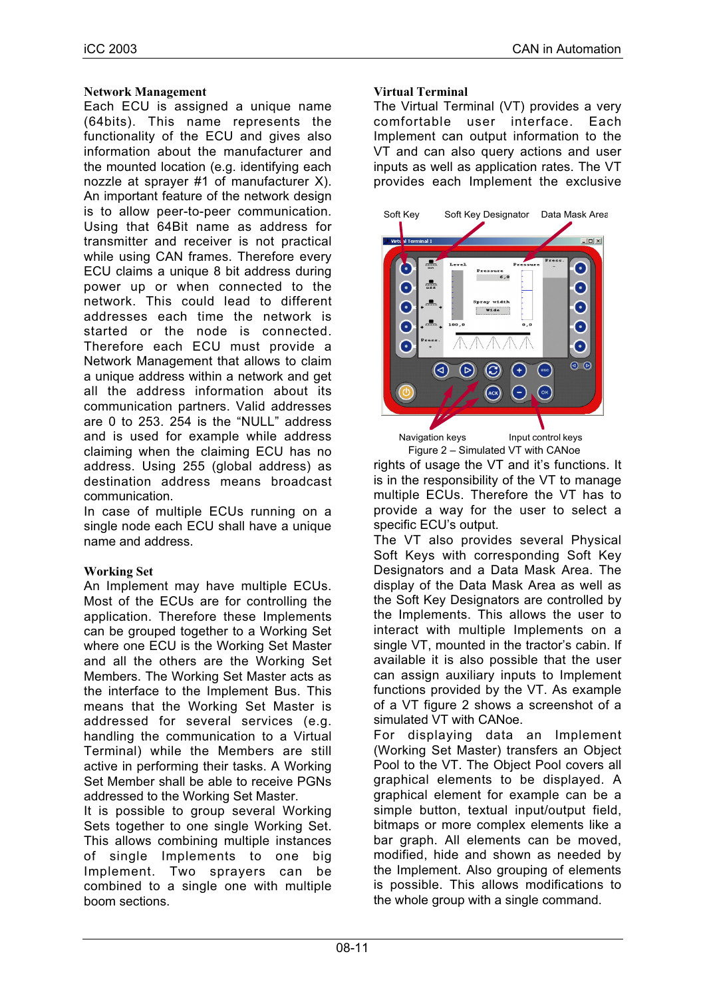#### **Network Management**

Each ECU is assigned a unique name (64bits). This name represents the functionality of the ECU and gives also information about the manufacturer and the mounted location (e.g. identifying each nozzle at sprayer #1 of manufacturer X). An important feature of the network design is to allow peer-to-peer communication. Using that 64Bit name as address for transmitter and receiver is not practical while using CAN frames. Therefore every ECU claims a unique 8 bit address during power up or when connected to the network. This could lead to different addresses each time the network is started or the node is connected. Therefore each ECU must provide a Network Management that allows to claim a unique address within a network and get all the address information about its communication partners. Valid addresses are 0 to 253. 254 is the "NULL" address and is used for example while address claiming when the claiming ECU has no address. Using 255 (global address) as destination address means broadcast communication.

In case of multiple ECUs running on a single node each ECU shall have a unique name and address.

#### **Working Set**

An Implement may have multiple ECUs. Most of the ECUs are for controlling the application. Therefore these Implements can be grouped together to a Working Set where one ECU is the Working Set Master and all the others are the Working Set Members. The Working Set Master acts as the interface to the Implement Bus. This means that the Working Set Master is addressed for several services (e.g. handling the communication to a Virtual Terminal) while the Members are still active in performing their tasks. A Working Set Member shall be able to receive PGNs addressed to the Working Set Master.

It is possible to group several Working Sets together to one single Working Set. This allows combining multiple instances of single Implements to one big Implement. Two sprayers can be combined to a single one with multiple boom sections.

#### **Virtual Terminal**

The Virtual Terminal (VT) provides a very comfortable user interface. Each Implement can output information to the VT and can also query actions and user inputs as well as application rates. The VT provides each Implement the exclusive



Navigation keys **Input control keys** Figure 2 – Simulated VT with CANoe

rights of usage the VT and it's functions. It is in the responsibility of the VT to manage multiple ECUs. Therefore the VT has to provide a way for the user to select a specific ECU's output.

The VT also provides several Physical Soft Keys with corresponding Soft Key Designators and a Data Mask Area. The display of the Data Mask Area as well as the Soft Key Designators are controlled by the Implements. This allows the user to interact with multiple Implements on a single VT, mounted in the tractor's cabin. If available it is also possible that the user can assign auxiliary inputs to Implement functions provided by the VT. As example of a VT figure 2 shows a screenshot of a simulated VT with CANoe.

For displaying data an Implement (Working Set Master) transfers an Object Pool to the VT. The Object Pool covers all graphical elements to be displayed. A graphical element for example can be a simple button, textual input/output field, bitmaps or more complex elements like a bar graph. All elements can be moved, modified, hide and shown as needed by the Implement. Also grouping of elements is possible. This allows modifications to the whole group with a single command.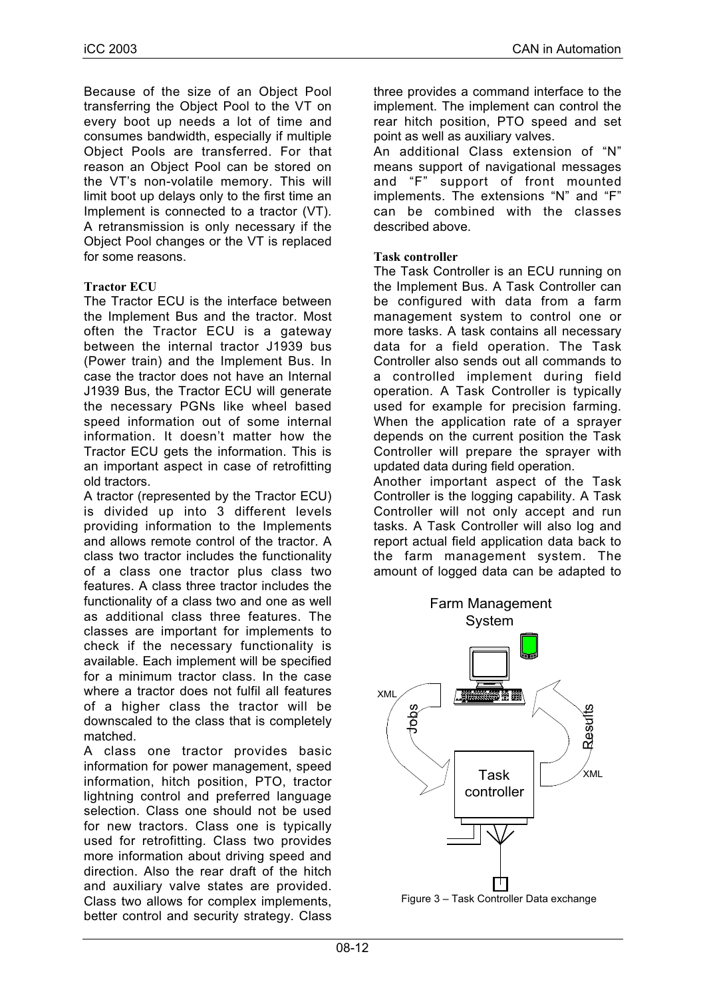Because of the size of an Object Pool transferring the Object Pool to the VT on every boot up needs a lot of time and consumes bandwidth, especially if multiple Object Pools are transferred. For that reason an Object Pool can be stored on the VT's non-volatile memory. This will limit boot up delays only to the first time an Implement is connected to a tractor (VT). A retransmission is only necessary if the Object Pool changes or the VT is replaced for some reasons.

## **Tractor ECU**

The Tractor ECU is the interface between the Implement Bus and the tractor. Most often the Tractor ECU is a gateway between the internal tractor J1939 bus (Power train) and the Implement Bus. In case the tractor does not have an Internal J1939 Bus, the Tractor ECU will generate the necessary PGNs like wheel based speed information out of some internal information. It doesn't matter how the Tractor ECU gets the information. This is an important aspect in case of retrofitting old tractors.

A tractor (represented by the Tractor ECU) is divided up into 3 different levels providing information to the Implements and allows remote control of the tractor. A class two tractor includes the functionality of a class one tractor plus class two features. A class three tractor includes the functionality of a class two and one as well as additional class three features. The classes are important for implements to check if the necessary functionality is available. Each implement will be specified for a minimum tractor class. In the case where a tractor does not fulfil all features of a higher class the tractor will be downscaled to the class that is completely matched.

A class one tractor provides basic information for power management, speed information, hitch position, PTO, tractor lightning control and preferred language selection. Class one should not be used for new tractors. Class one is typically used for retrofitting. Class two provides more information about driving speed and direction. Also the rear draft of the hitch and auxiliary valve states are provided. Class two allows for complex implements, better control and security strategy. Class

three provides a command interface to the implement. The implement can control the rear hitch position, PTO speed and set point as well as auxiliary valves.

An additional Class extension of "N" means support of navigational messages and "F" support of front mounted implements. The extensions "N" and "F" can be combined with the classes described above.

#### **Task controller**

The Task Controller is an ECU running on the Implement Bus. A Task Controller can be configured with data from a farm management system to control one or more tasks. A task contains all necessary data for a field operation. The Task Controller also sends out all commands to a controlled implement during field operation. A Task Controller is typically used for example for precision farming. When the application rate of a sprayer depends on the current position the Task Controller will prepare the sprayer with updated data during field operation.

Another important aspect of the Task Controller is the logging capability. A Task Controller will not only accept and run tasks. A Task Controller will also log and report actual field application data back to the farm management system. The amount of logged data can be adapted to



Figure 3 – Task Controller Data exchange